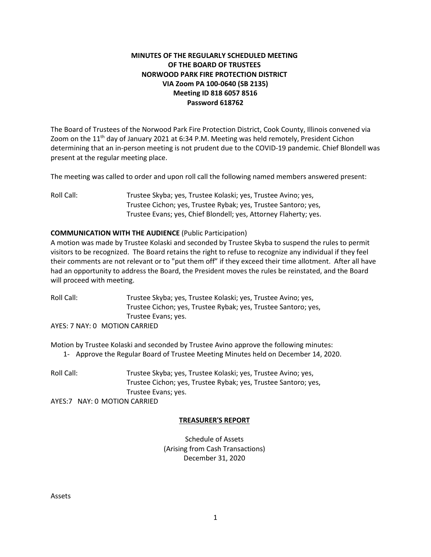# **MINUTES OF THE REGULARLY SCHEDULED MEETING OF THE BOARD OF TRUSTEES NORWOOD PARK FIRE PROTECTION DISTRICT VIA Zoom PA 100-0640 (SB 2135) Meeting ID 818 6057 8516 Password 618762**

The Board of Trustees of the Norwood Park Fire Protection District, Cook County, Illinois convened via Zoom on the 11<sup>th</sup> day of January 2021 at 6:34 P.M. Meeting was held remotely, President Cichon determining that an in-person meeting is not prudent due to the COVID-19 pandemic. Chief Blondell was present at the regular meeting place.

The meeting was called to order and upon roll call the following named members answered present:

Roll Call: Trustee Skyba; yes, Trustee Kolaski; yes, Trustee Avino; yes, Trustee Cichon; yes, Trustee Rybak; yes, Trustee Santoro; yes, Trustee Evans; yes, Chief Blondell; yes, Attorney Flaherty; yes.

### **COMMUNICATION WITH THE AUDIENCE** (Public Participation)

A motion was made by Trustee Kolaski and seconded by Trustee Skyba to suspend the rules to permit visitors to be recognized. The Board retains the right to refuse to recognize any individual if they feel their comments are not relevant or to "put them off" if they exceed their time allotment. After all have had an opportunity to address the Board, the President moves the rules be reinstated, and the Board will proceed with meeting.

Roll Call: Trustee Skyba; yes, Trustee Kolaski; yes, Trustee Avino; yes, Trustee Cichon; yes, Trustee Rybak; yes, Trustee Santoro; yes, Trustee Evans; yes.

AYES: 7 NAY: 0 MOTION CARRIED

Motion by Trustee Kolaski and seconded by Trustee Avino approve the following minutes:

1- Approve the Regular Board of Trustee Meeting Minutes held on December 14, 2020.

Roll Call: Trustee Skyba; yes, Trustee Kolaski; yes, Trustee Avino; yes, Trustee Cichon; yes, Trustee Rybak; yes, Trustee Santoro; yes, Trustee Evans; yes. AYES:7 NAY: 0 MOTION CARRIED

#### **TREASURER'S REPORT**

Schedule of Assets (Arising from Cash Transactions) December 31, 2020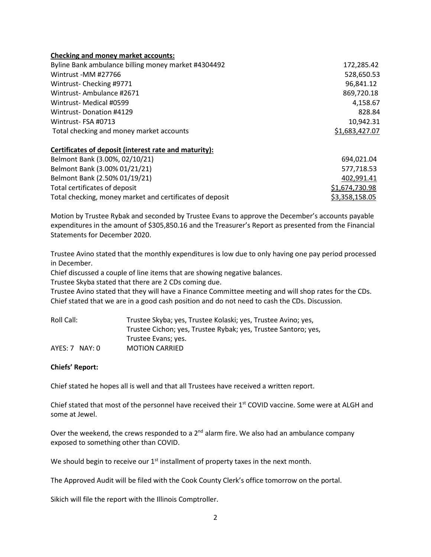### **Checking and money market accounts:**

| Byline Bank ambulance billing money market #4304492 | 172,285.42     |
|-----------------------------------------------------|----------------|
| Wintrust -MM #27766                                 | 528,650.53     |
| Wintrust-Checking #9771                             | 96,841.12      |
| Wintrust-Ambulance #2671                            | 869,720.18     |
| Wintrust-Medical #0599                              | 4.158.67       |
| Wintrust-Donation #4129                             | 828.84         |
| Wintrust-FSA #0713                                  | 10,942.31      |
| Total checking and money market accounts            | \$1,683,427.07 |

### **Certificates of deposit (interest rate and maturity):**

| Belmont Bank (3.00%, 02/10/21)                           | 694,021.04     |
|----------------------------------------------------------|----------------|
| Belmont Bank (3.00% 01/21/21)                            | 577.718.53     |
| Belmont Bank (2.50% 01/19/21)                            | 402,991.41     |
| Total certificates of deposit                            | \$1,674,730.98 |
| Total checking, money market and certificates of deposit | \$3,358,158.05 |

Motion by Trustee Rybak and seconded by Trustee Evans to approve the December's accounts payable expenditures in the amount of \$305,850.16 and the Treasurer's Report as presented from the Financial Statements for December 2020.

Trustee Avino stated that the monthly expenditures is low due to only having one pay period processed in December.

Chief discussed a couple of line items that are showing negative balances.

Trustee Skyba stated that there are 2 CDs coming due.

Trustee Avino stated that they will have a Finance Committee meeting and will shop rates for the CDs. Chief stated that we are in a good cash position and do not need to cash the CDs. Discussion.

| Roll Call:       | Trustee Skyba; yes, Trustee Kolaski; yes, Trustee Avino; yes,  |
|------------------|----------------------------------------------------------------|
|                  | Trustee Cichon; yes, Trustee Rybak; yes, Trustee Santoro; yes, |
|                  | Trustee Evans; yes.                                            |
| $AYES: 7$ NAY: 0 | <b>MOTION CARRIED</b>                                          |

# **Chiefs' Report:**

Chief stated he hopes all is well and that all Trustees have received a written report.

Chief stated that most of the personnel have received their 1<sup>st</sup> COVID vaccine. Some were at ALGH and some at Jewel.

Over the weekend, the crews responded to a  $2^{nd}$  alarm fire. We also had an ambulance company exposed to something other than COVID.

We should begin to receive our  $1<sup>st</sup>$  installment of property taxes in the next month.

The Approved Audit will be filed with the Cook County Clerk's office tomorrow on the portal.

Sikich will file the report with the Illinois Comptroller.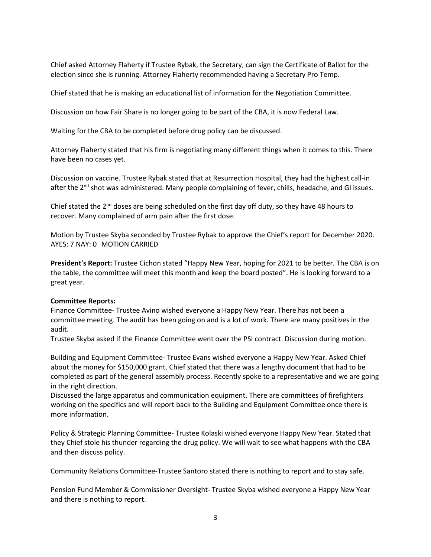Chief asked Attorney Flaherty if Trustee Rybak, the Secretary, can sign the Certificate of Ballot for the election since she is running. Attorney Flaherty recommended having a Secretary Pro Temp.

Chief stated that he is making an educational list of information for the Negotiation Committee.

Discussion on how Fair Share is no longer going to be part of the CBA, it is now Federal Law.

Waiting for the CBA to be completed before drug policy can be discussed.

Attorney Flaherty stated that his firm is negotiating many different things when it comes to this. There have been no cases yet.

Discussion on vaccine. Trustee Rybak stated that at Resurrection Hospital, they had the highest call-in after the  $2<sup>nd</sup>$  shot was administered. Many people complaining of fever, chills, headache, and GI issues.

Chief stated the  $2<sup>nd</sup>$  doses are being scheduled on the first day off duty, so they have 48 hours to recover. Many complained of arm pain after the first dose.

Motion by Trustee Skyba seconded by Trustee Rybak to approve the Chief's report for December 2020. AYES: 7 NAY: 0 MOTION CARRIED

**President's Report:** Trustee Cichon stated "Happy New Year, hoping for 2021 to be better. The CBA is on the table, the committee will meet this month and keep the board posted". He is looking forward to a great year.

#### **Committee Reports:**

Finance Committee- Trustee Avino wished everyone a Happy New Year. There has not been a committee meeting. The audit has been going on and is a lot of work. There are many positives in the audit.

Trustee Skyba asked if the Finance Committee went over the PSI contract. Discussion during motion.

Building and Equipment Committee- Trustee Evans wished everyone a Happy New Year. Asked Chief about the money for \$150,000 grant. Chief stated that there was a lengthy document that had to be completed as part of the general assembly process. Recently spoke to a representative and we are going in the right direction.

Discussed the large apparatus and communication equipment. There are committees of firefighters working on the specifics and will report back to the Building and Equipment Committee once there is more information.

Policy & Strategic Planning Committee- Trustee Kolaski wished everyone Happy New Year. Stated that they Chief stole his thunder regarding the drug policy. We will wait to see what happens with the CBA and then discuss policy.

Community Relations Committee-Trustee Santoro stated there is nothing to report and to stay safe.

Pension Fund Member & Commissioner Oversight- Trustee Skyba wished everyone a Happy New Year and there is nothing to report.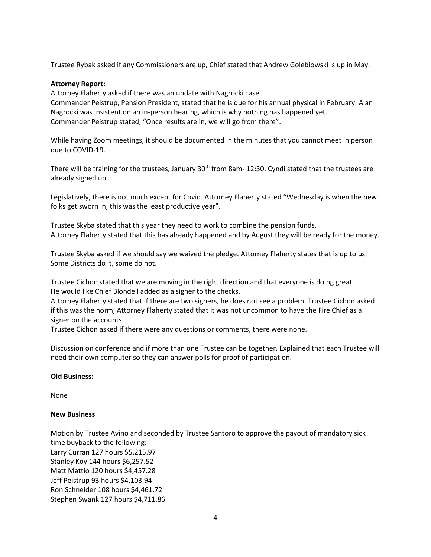Trustee Rybak asked if any Commissioners are up, Chief stated that Andrew Golebiowski is up in May.

### **Attorney Report:**

Attorney Flaherty asked if there was an update with Nagrocki case. Commander Peistrup, Pension President, stated that he is due for his annual physical in February. Alan Nagrocki was insistent on an in-person hearing, which is why nothing has happened yet. Commander Peistrup stated, "Once results are in, we will go from there".

While having Zoom meetings, it should be documented in the minutes that you cannot meet in person due to COVID-19.

There will be training for the trustees, January  $30<sup>th</sup>$  from 8am- 12:30. Cyndi stated that the trustees are already signed up.

Legislatively, there is not much except for Covid. Attorney Flaherty stated "Wednesday is when the new folks get sworn in, this was the least productive year".

Trustee Skyba stated that this year they need to work to combine the pension funds. Attorney Flaherty stated that this has already happened and by August they will be ready for the money.

Trustee Skyba asked if we should say we waived the pledge. Attorney Flaherty states that is up to us. Some Districts do it, some do not.

Trustee Cichon stated that we are moving in the right direction and that everyone is doing great. He would like Chief Blondell added as a signer to the checks.

Attorney Flaherty stated that if there are two signers, he does not see a problem. Trustee Cichon asked if this was the norm, Attorney Flaherty stated that it was not uncommon to have the Fire Chief as a signer on the accounts.

Trustee Cichon asked if there were any questions or comments, there were none.

Discussion on conference and if more than one Trustee can be together. Explained that each Trustee will need their own computer so they can answer polls for proof of participation.

# **Old Business:**

None

# **New Business**

Motion by Trustee Avino and seconded by Trustee Santoro to approve the payout of mandatory sick time buyback to the following: Larry Curran 127 hours \$5,215.97 Stanley Koy 144 hours \$6,257.52 Matt Mattio 120 hours \$4,457.28 Jeff Peistrup 93 hours \$4,103.94 Ron Schneider 108 hours \$4,461.72 Stephen Swank 127 hours \$4,711.86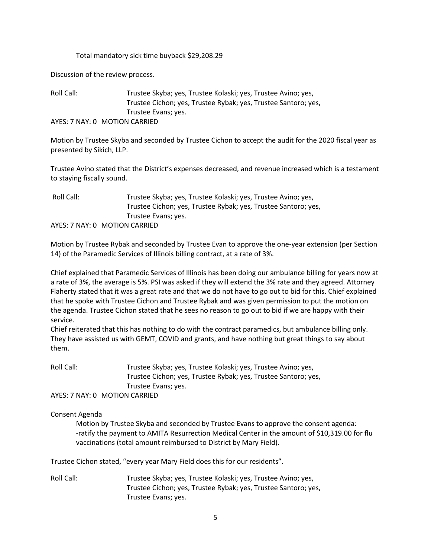#### Total mandatory sick time buyback \$29,208.29

Discussion of the review process.

Roll Call: Trustee Skyba; yes, Trustee Kolaski; yes, Trustee Avino; yes, Trustee Cichon; yes, Trustee Rybak; yes, Trustee Santoro; yes, Trustee Evans; yes. AYES: 7 NAY: 0 MOTION CARRIED

Motion by Trustee Skyba and seconded by Trustee Cichon to accept the audit for the 2020 fiscal year as presented by Sikich, LLP.

Trustee Avino stated that the District's expenses decreased, and revenue increased which is a testament to staying fiscally sound.

Roll Call: Trustee Skyba; yes, Trustee Kolaski; yes, Trustee Avino; yes, Trustee Cichon; yes, Trustee Rybak; yes, Trustee Santoro; yes, Trustee Evans; yes. AYES: 7 NAY: 0 MOTION CARRIED

Motion by Trustee Rybak and seconded by Trustee Evan to approve the one-year extension (per Section 14) of the Paramedic Services of Illinois billing contract, at a rate of 3%.

Chief explained that Paramedic Services of Illinois has been doing our ambulance billing for years now at a rate of 3%, the average is 5%. PSI was asked if they will extend the 3% rate and they agreed. Attorney Flaherty stated that it was a great rate and that we do not have to go out to bid for this. Chief explained that he spoke with Trustee Cichon and Trustee Rybak and was given permission to put the motion on the agenda. Trustee Cichon stated that he sees no reason to go out to bid if we are happy with their service.

Chief reiterated that this has nothing to do with the contract paramedics, but ambulance billing only. They have assisted us with GEMT, COVID and grants, and have nothing but great things to say about them.

Roll Call: Trustee Skyba; yes, Trustee Kolaski; yes, Trustee Avino; yes, Trustee Cichon; yes, Trustee Rybak; yes, Trustee Santoro; yes, Trustee Evans; yes.

AYES: 7 NAY: 0 MOTION CARRIED

# Consent Agenda

Motion by Trustee Skyba and seconded by Trustee Evans to approve the consent agenda: -ratify the payment to AMITA Resurrection Medical Center in the amount of \$10,319.00 for flu vaccinations (total amount reimbursed to District by Mary Field).

Trustee Cichon stated, "every year Mary Field does this for our residents".

Roll Call: Trustee Skyba; yes, Trustee Kolaski; yes, Trustee Avino; yes, Trustee Cichon; yes, Trustee Rybak; yes, Trustee Santoro; yes, Trustee Evans; yes.